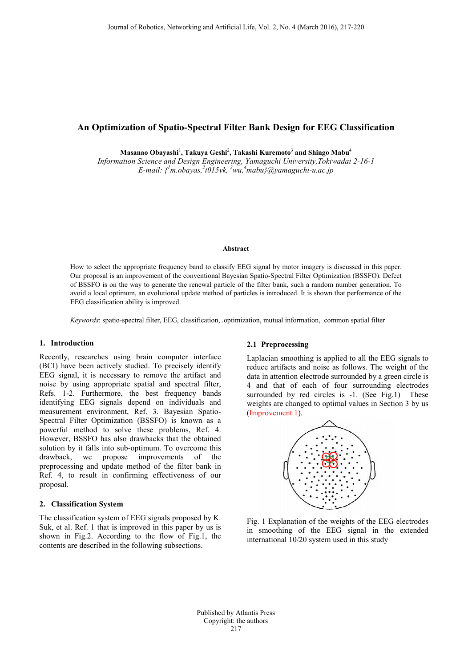# **An Optimization of Spatio-Spectral Filter Bank Design for EEG Classification**

**Masanao Obayashi**<sup>1</sup> **, Takuya Geshi**<sup>2</sup> **, Takashi Kuremoto**<sup>3</sup> **and Shingo Mabu**<sup>4</sup>

*Information Science and Design Engineering, Yamaguchi University,Tokiwadai 2-16-1 E-mail: { 1 m.obayas,<sup>2</sup> t015vk, <sup>3</sup> wu,<sup>4</sup> mabu}@yamaguchi-u.ac.jp*

#### **Abstract**

How to select the appropriate frequency band to classify EEG signal by motor imagery is discussed in this paper. Our proposal is an improvement of the conventional Bayesian Spatio-Spectral Filter Optimization (BSSFO). Defect of BSSFO is on the way to generate the renewal particle of the filter bank, such a random number generation. To avoid a local optimum, an evolutional update method of particles is introduced. It is shown that performance of the EEG classification ability is improved.

*Keywords*: spatio-spectral filter, EEG, classification, .optimization, mutual information, common spatial filter

## **1. Introduction**

Recently, researches using brain computer interface (BCI) have been actively studied. To precisely identify EEG signal, it is necessary to remove the artifact and noise by using appropriate spatial and spectral filter, Refs. 1-2. Furthermore, the best frequency bands identifying EEG signals depend on individuals and measurement environment, Ref. 3. Bayesian Spatio-Spectral Filter Optimization (BSSFO) is known as a powerful method to solve these problems, Ref. 4. However, BSSFO has also drawbacks that the obtained solution by it falls into sub-optimum. To overcome this drawback, we propose improvements of the preprocessing and update method of the filter bank in Ref. 4, to result in confirming effectiveness of our proposal.

#### **2. Classification System**

The classification system of EEG signals proposed by K. Suk, et al. Ref. 1 that is improved in this paper by us is shown in Fig.2. According to the flow of Fig.1, the contents are described in the following subsections.

#### **2.1 Preprocessing**

Laplacian smoothing is applied to all the EEG signals to reduce artifacts and noise as follows. The weight of the data in attention electrode surrounded by a green circle is 4 and that of each of four surrounding electrodes surrounded by red circles is  $-1$ . (See Fig.1) These weights are changed to optimal values in Section 3 by us (Improvement 1).



Fig. 1 Explanation of the weights of the EEG electrodes in smoothing of the EEG signal in the extended international 10/20 system used in this study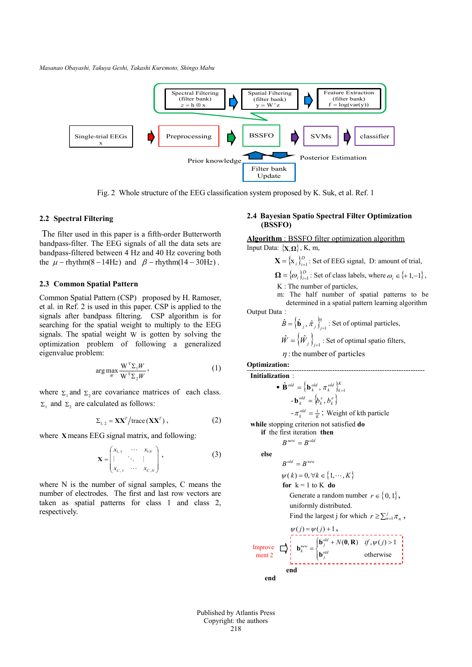*Masanao Obayashi, Takuya Geshi, Takashi Kuremoto, Shingo Mabu*



Fig. 2 Whole structure of the EEG classification system proposed by K. Suk, et al. Ref. 1

### **2.2 Spectral Filtering**

 The filter used in this paper is a fifth-order Butterworth bandpass-filter. The EEG signals of all the data sets are bandpass-filtered between 4 Hz and 40 Hz covering both the  $\mu$  – rhythm(8 – 14Hz) and  $\beta$  – rhythm(14 – 30Hz).

### **2.3 Common Spatial Pattern**

Common Spatial Pattern (CSP) proposed by H. Ramoser, et al. in Ref. 2 is used in this paper. CSP is applied to the signals after bandpass filtering. CSP algorithm is for searching for the spatial weight to multiply to the EEG signals. The spatial weight W is gotten by solving the optimization problem of following a generalized eigenvalue problem:

$$
\arg \max_{W} \frac{W^{T} \Sigma_{1} W}{W^{T} \Sigma_{2} W},
$$
 (1)

where  $\Sigma_1$  and  $\Sigma_2$  are covariance matrices of each class.  $\Sigma_1$  and  $\Sigma_2$  are calculated as follows:

$$
\Sigma_{1,2} = \mathbf{XX}^T / \text{trace}(\mathbf{XX}^T), \qquad (2)
$$

where **X**means EEG signal matrix, and following:

$$
\mathbf{X} = \begin{pmatrix} x_{1,1} & \cdots & x_{1N} \\ \vdots & \ddots & \vdots \\ x_{C,1} & \cdots & x_{C,N} \end{pmatrix},
$$
 (3)

where N is the number of signal samples, C means the number of electrodes. The first and last row vectors are taken as spatial patterns for class 1 and class 2, respectively.

## **2.4 Bayesian Spatio Spectral Filter Optimization (BSSFO)**

**Algorithm** : BSSFO filter optimization algorithm Input Data: {**X**,**Ω**}, K, m,

$$
\mathbf{X} = \{x_i\}_{i=1}^D
$$
: Set of EEG signal, D: amount of trial,

 ${\bf \Omega} = {\{\omega_i\}}_{i=1}^D$ : Set of class labels, where  $\omega_i \in {\{+1,-1\}}$ ,

K : The number of particles,

 m: The half number of spatial patterns to be determined in a spatial pattern learning algorithm

Output Data:

$$
\hat{B} = \left\{ \hat{\mathbf{b}}_j, \hat{\pi}_j \right\}_{j=1}^{\eta}
$$
: Set of optimal particles,  

$$
\hat{W} = \left\{ \hat{W}_j \right\}_{j=1}
$$
: Set of optimal spatio filters,

 $\eta$ : the number of particles

**Optimization:**

--------------------------------------------------------------------------- **Initialization**:

$$
\bullet \ \hat{\mathbf{B}}^{old} = \left\{ \mathbf{b}_{k}^{old}, \pi_{k}^{old} \right\}_{k=1}^{K}
$$

$$
-\mathbf{b}_k^{old} = \left\{b_k^s, b_k^e\right\}
$$

 $-\pi_k^{old} = \frac{1}{K}$ : Weight of kth particle

**while** stopping criterion not satisfied **do**

**if** the first iteration **then**

 $B^{new} = B^{old}$ 

**else**

$$
B^{\mathit{old}} = B^{\mathit{new}}
$$

$$
\psi(k) = 0, \forall k \in \{1, \cdots, K\}
$$

for 
$$
k = 1
$$
 to K do

Generate a random number  $r \in \{0, 1\}$ , uniformly distributed.

Find the largest j for which  $r \ge \sum_{n=1}^{j} \pi_n$ ,

$$
\psi(j) = \psi(j) + 1,
$$
\n
$$
\psi(j) = \psi(j) + 1,
$$
\n
$$
\psi(j) = 1
$$
\n
$$
\psi(j) = 1
$$
\n
$$
\psi(j) = 1
$$
\n
$$
\psi(j) = 1
$$
\n
$$
\psi(j) = 1
$$
\n
$$
\psi(k) = 1
$$
\n
$$
\psi(k) = 1
$$
\n
$$
\psi(k) = 1
$$
\n
$$
\psi(k) = 1
$$
\n
$$
\psi(k) = 1
$$
\n
$$
\psi(k) = 1
$$
\n
$$
\psi(k) = 1
$$
\n
$$
\psi(k) = 1
$$
\n
$$
\psi(k) = 1
$$
\n
$$
\psi(k) = 1
$$
\n
$$
\psi(k) = 1
$$
\n
$$
\psi(k) = 1
$$
\n
$$
\psi(k) = 1
$$
\n
$$
\psi(k) = 1
$$
\n
$$
\psi(k) = 1
$$
\n
$$
\psi(k) = 1
$$
\n
$$
\psi(k) = 1
$$
\n
$$
\psi(k) = 1
$$
\n
$$
\psi(k) = 1
$$
\n
$$
\psi(k) = 1
$$
\n
$$
\psi(k) = 1
$$
\n
$$
\psi(k) = 1
$$
\n
$$
\psi(k) = 1
$$
\n
$$
\psi(k) = 1
$$
\n
$$
\psi(k) = 1
$$
\n
$$
\psi(k) = 1
$$
\n
$$
\psi(k) = 1
$$
\n
$$
\psi(k) = 1
$$
\n
$$
\psi(k) = 1
$$
\n
$$
\psi(k) = 1
$$
\n
$$
\psi(k) = 1
$$
\n
$$
\psi(k) = 1
$$
\n
$$
\psi(k) = 1
$$
\n
$$
\psi(k) = 1
$$
\n
$$
\psi(k) = 1
$$
\n
$$
\psi(k) = 1
$$
\n
$$
\psi(k) = 1
$$
\n
$$
\psi(k) = 1
$$
\n
$$
\psi(k) = 1
$$
\n
$$
\psi(k) = 1
$$
\n $$ 

Published by Atlantis Press Copyright: the authors 218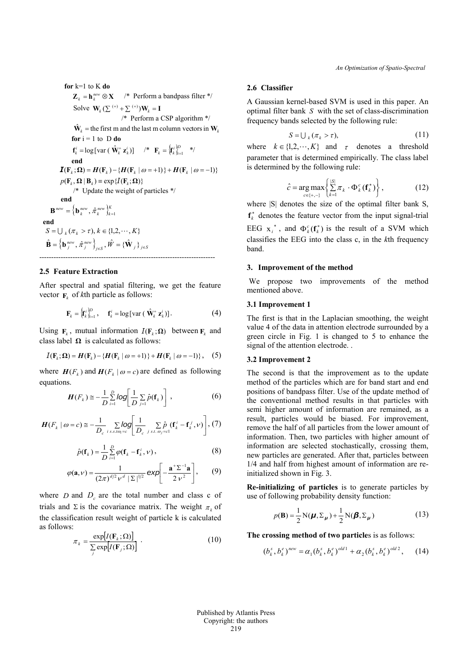*An Optimization of Spatio-Spectral*

**for** k=1 to K **do**  $\mathbf{Z}_k = \mathbf{h}_k^{new} \otimes \mathbf{X}$  /\* Perform a bandpass filter \*/ Solve  $\mathbf{W}_k \left( \sum^{(+)} + \sum^{(+)}) \mathbf{W}_k \right) = \mathbf{I}$  /\* Perform a CSP algorithm \*/  $\hat{\mathbf{W}}_k$  = the first m and the last m column vectors in  $\mathbf{W}_k$ **for**  $i = 1$  to  $D$  **do**  $\mathbf{f}_k^i = \log \left[ \text{var} \left( \hat{\mathbf{W}}_k^+ \, \mathbf{z}_k^i \right) \right]$  /\*  $\mathbf{F}_k = \left\{ \mathbf{f}_k^i \right\}_{i=1}^{D}$  $\mathbf{F}_k = \left\{ \mathbf{f}_k^i \right\}_{i=1}^D$  \*/ **end**  $I(F_k; \Omega) = H(F_k) - \{H(F_k | \omega = +1)\} + H(F_k | \omega = -1)\}$  $p(\mathbf{F}_k, \mathbf{\Omega} | \mathbf{B}_k) \equiv \exp\{I(\mathbf{F}_k; \mathbf{\Omega})\}$  /\* Update the weight of particles \*/ **end**  ${\bf B}^{new}=\left\{ {\bf b}\frac{\hbar e w}{k},\hat{\pi}\frac{\hbar e w}{k}\right\}_{k=1}^{K}$ **end**  $S = \bigcup_{k} (\pi_k > \tau), k \in \{1, 2, \cdots, K\}$  ${\bf \hat{B}}=\left\{ {{{\bf{b}}_j}^{new},\hat \pi _j^{new}} \right\}_{j \in S},\hat W = \{ {{{\bf{\hat W}}}_j}\} _{j \in S}$ --------------------------------------------------------------------------

### **2.5 Feature Extraction**

After spectral and spatial filtering, we get the feature vector  $\mathbf{F}_k$  of *k*th particle as follows:

$$
\mathbf{F}_{k} = \left\{ \mathbf{f}_{k}^{i} \right\}_{i=1}^{D}, \quad \mathbf{f}_{k}^{i} = \log[\text{var} \left( \hat{\mathbf{W}}_{k}^{+} \mathbf{z}_{k}^{i} \right)]. \tag{4}
$$

Using  $\mathbf{F}_k$ , mutual information  $I(\mathbf{F}_k;\Omega)$  between  $\mathbf{F}_k$  and class label **Ω** is calculated as follows:

$$
I(\mathbf{F}_k; \Omega) = H(\mathbf{F}_k) - \{H(\mathbf{F}_k \mid \omega = +1)\} + H(\mathbf{F}_k \mid \omega = -1)\}, \quad (5)
$$

where  $H(F_k)$  and  $H(F_k | \omega = c)$  are defined as following equations.

$$
H(F_k) \cong -\frac{1}{D} \sum_{i=1}^{D} log\left[\frac{1}{D} \sum_{j=1}^{D} \hat{p}(\mathbf{f}_k)\right],
$$
 (6)

$$
\boldsymbol{H}(F_k \mid \omega = c) \cong -\frac{1}{D_c} \sum_{i \, s \, s \, t\omega_i = c} log \left[ \frac{1}{D_c} \sum_{j \, s \, t \, \omega_j = c} \hat{p}_c(\mathbf{f}_k^i - \mathbf{f}_k^j, \nu) \right], \, (7)
$$

$$
\hat{p}(\mathbf{f}_k) = \frac{1}{D} \sum_{i=1}^{D} \varphi(\mathbf{f}_k - \mathbf{f}_k^i, \nu),
$$
\n(8)

$$
\varphi(\mathbf{a}, \nu) = \frac{1}{\left(2\pi\right)^{d/2} \nu^d \left|\Sigma\right|^{1/2}} \exp\left[-\frac{\mathbf{a}^{\top}\Sigma^{-1}\mathbf{a}}{2 \nu^2}\right],\qquad(9)
$$

where *D* and  $D_c$  are the total number and class c of trials and  $\Sigma$  is the covariance matrix. The weight  $\pi_k$  of the classification result weight of particle k is calculated as follows:

$$
\pi_k = \frac{\exp[I(\mathbf{F}_k; \Omega)]}{\sum_{j} \exp[I(\mathbf{F}_j; \Omega)]} \tag{10}
$$

## **2.6 Classifier**

A Gaussian kernel-based SVM is used in this paper. An optimal filter bank *S* with the set of class-discrimination frequency bands selected by the following rule:

$$
S = \bigcup_{k} (\pi_k > \tau), \tag{11}
$$

where  $k \in \{1, 2, \dots, K\}$  and  $\tau$  denotes a threshold parameter that is determined empirically. The class label is determined by the following rule:

$$
\hat{c} = \underset{c \in \{+, -\}}{\arg \max} \left\{ \sum_{k=1}^{|\mathcal{S}|} \pi_k \cdot \Phi_k^c(\mathbf{f}_k^*) \right\},\tag{12}
$$

where  $|S|$  denotes the size of the optimal filter bank S,  $f_k^*$  denotes the feature vector from the input signal-trial EEG  $x_i^*$ , and  $\Phi_k^c(f_k^*)$  is the result of a SVM which classifies the EEG into the class c, in the *k*th frequency band.

#### **3. Improvement of the method**

We propose two improvements of the method mentioned above.

## **3.1 Improvement 1**

The first is that in the Laplacian smoothing, the weight value 4 of the data in attention electrode surrounded by a green circle in Fig. 1 is changed to 5 to enhance the signal of the attention electrode...

## **3.2 Improvement 2**

The second is that the improvement as to the update method of the particles which are for band start and end positions of bandpass filter. Use of the update method of the conventional method results in that particles with semi higher amount of information are remained, as a result, particles would be biased. For improvement, remove the half of all particles from the lower amount of information. Then, two particles with higher amount of information are selected stochastically, crossing them, new particles are generated. After that, particles between 1/4 and half from highest amount of information are reinitialized shown in Fig. 3.

**Re-initializing of particles** is to generate particles by use of following probability density function:

$$
p(\mathbf{B}) = \frac{1}{2} N(\boldsymbol{\mu}, \Sigma_{\boldsymbol{\mu}}) + \frac{1}{2} N(\boldsymbol{\beta}, \Sigma_{\boldsymbol{\mu}})
$$
(13)

**The crossing method of two particle**s is as follows:

$$
(b_k^s, b_k^e)^{new} = \alpha_1 (b_k^s, b_k^e)^{old1} + \alpha_2 (b_k^s, b_k^e)^{old2}, \quad (14)
$$